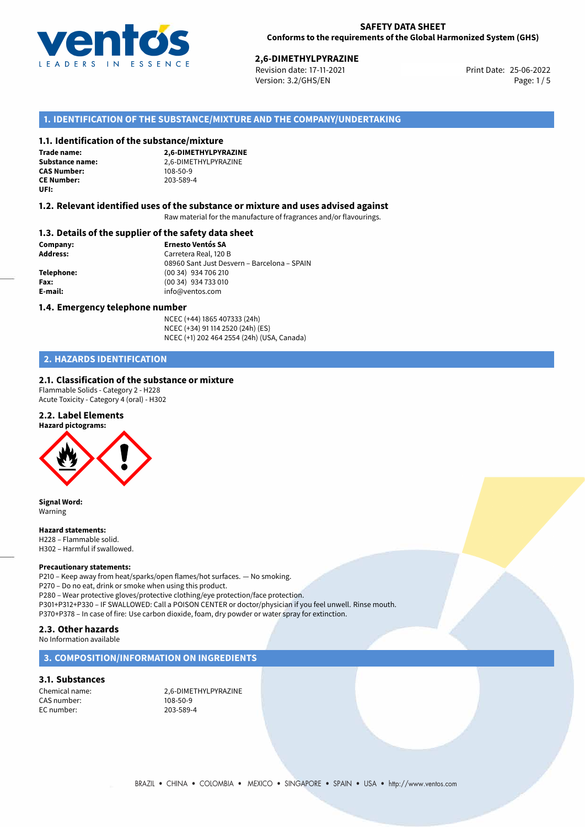

# 25-06-2022 **2,6-DIMETHYLPYRAZINE**

Revision date: 17-11-2021 Version: 3.2/GHS/EN Page: 1/5

## **1. IDENTIFICATION OF THE SUBSTANCE/MIXTURE AND THE COMPANY/UNDERTAKING**

#### **1.1. Identification of the substance/mixture**

**Trade name: CAS Number: CE Number:** 203-589-4 **UFI:**

**2,6-DIMETHYLPYRAZINE Substance name:** 2,6-DIMETHYLPYRAZINE<br> **CAS Number:** 108-50-9

#### **1.2. Relevant identified uses of the substance or mixture and uses advised against**

Raw material for the manufacture of fragrances and/or flavourings.

#### **1.3. Details of the supplier of the safety data sheet**

**Company: Ernesto Ventós SA Address:** Carretera Real, 120 B 08960 Sant Just Desvern – Barcelona – SPAIN **Telephone:** (00 34) 934 706 210 **Fax:** (00 34) 934 733 010 **E-mail:** info@ventos.com

#### **1.4. Emergency telephone number**

NCEC (+44) 1865 407333 (24h) NCEC (+34) 91 114 2520 (24h) (ES) NCEC (+1) 202 464 2554 (24h) (USA, Canada)

### **2. HAZARDS IDENTIFICATION**

#### **2.1. Classification of the substance or mixture**

Flammable Solids - Category 2 - H228 Acute Toxicity - Category 4 (oral) - H302

#### **2.2. Label Elements**



**Signal Word:** Warning

#### **Hazard statements:**

H228 – Flammable solid. H302 – Harmful if swallowed.

#### **Precautionary statements:**

P210 – Keep away from heat/sparks/open flames/hot surfaces. — No smoking. P270 – Do no eat, drink or smoke when using this product. P280 – Wear protective gloves/protective clothing/eye protection/face protection. P301+P312+P330 – IF SWALLOWED: Call a POISON CENTER or doctor/physician if you feel unwell. Rinse mouth. P370+P378 – In case of fire: Use carbon dioxide, foam, dry powder or water spray for extinction.

### **2.3. Other hazards**

No Information available

#### **3. COMPOSITION/INFORMATION ON INGREDIENTS**

#### **3.1. Substances**

CAS number: 108-50-9<br>FC number: 203-589-4  $FC$  number:

Chemical name: 2,6-DIMETHYLPYRAZINE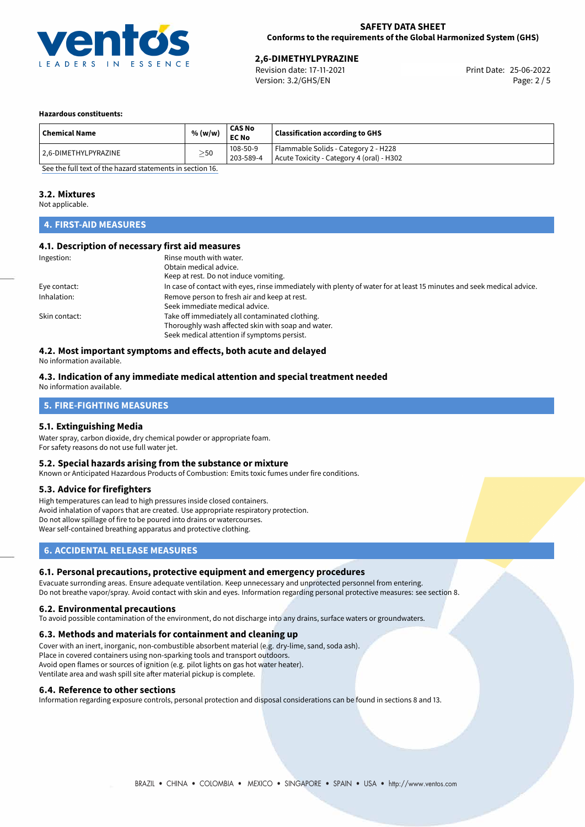

# 25-06-2022 **2,6-DIMETHYLPYRAZINE**

Revision date: 17-11-2021 Version: 3.2/GHS/EN Page: 2 / 5

#### **Hazardous constituents:**

| <b>Chemical Name</b>  | % (w/w)   | <b>CAS No</b><br><b>EC No</b> | <b>Classification according to GHS</b>                                            |
|-----------------------|-----------|-------------------------------|-----------------------------------------------------------------------------------|
| 12.6-DIMETHYLPYRAZINE | $\geq$ 50 | 108-50-9<br>203-589-4         | Flammable Solids - Category 2 - H228<br>Acute Toxicity - Category 4 (oral) - H302 |

[See the full text of the hazard statements in section 16.](#page-4-0)

#### **3.2. Mixtures**

Not applicable.

# **4. FIRST-AID MEASURES**

#### **4.1. Description of necessary first aid measures**

| Ingestion:    | Rinse mouth with water.<br>Obtain medical advice.<br>Keep at rest. Do not induce vomiting.                                                           |
|---------------|------------------------------------------------------------------------------------------------------------------------------------------------------|
| Eye contact:  | In case of contact with eyes, rinse immediately with plenty of water for at least 15 minutes and seek medical advice.                                |
| Inhalation:   | Remove person to fresh air and keep at rest.<br>Seek immediate medical advice.                                                                       |
| Skin contact: | Take off immediately all contaminated clothing.<br>Thoroughly wash affected skin with soap and water.<br>Seek medical attention if symptoms persist. |

# **4.2. Most important symptoms and effects, both acute and delayed**

No information available.

#### **4.3. Indication of any immediate medical attention and special treatment needed** No information available.

# **5. FIRE-FIGHTING MEASURES**

#### **5.1. Extinguishing Media**

Water spray, carbon dioxide, dry chemical powder or appropriate foam. For safety reasons do not use full water jet.

#### **5.2. Special hazards arising from the substance or mixture**

Known or Anticipated Hazardous Products of Combustion: Emits toxic fumes under fire conditions.

#### **5.3. Advice for firefighters**

High temperatures can lead to high pressures inside closed containers. Avoid inhalation of vapors that are created. Use appropriate respiratory protection. Do not allow spillage of fire to be poured into drains or watercourses. Wear self-contained breathing apparatus and protective clothing.

#### **6. ACCIDENTAL RELEASE MEASURES**

#### **6.1. Personal precautions, protective equipment and emergency procedures**

Evacuate surronding areas. Ensure adequate ventilation. Keep unnecessary and unprotected personnel from entering. Do not breathe vapor/spray. Avoid contact with skin and eyes. Information regarding personal protective measures: see section 8.

#### **6.2. Environmental precautions**

To avoid possible contamination of the environment, do not discharge into any drains, surface waters or groundwaters.

#### **6.3. Methods and materials for containment and cleaning up**

Cover with an inert, inorganic, non-combustible absorbent material (e.g. dry-lime, sand, soda ash). Place in covered containers using non-sparking tools and transport outdoors. Avoid open flames or sources of ignition (e.g. pilot lights on gas hot water heater). Ventilate area and wash spill site after material pickup is complete.

#### **6.4. Reference to other sections**

Information regarding exposure controls, personal protection and disposal considerations can be found in sections 8 and 13.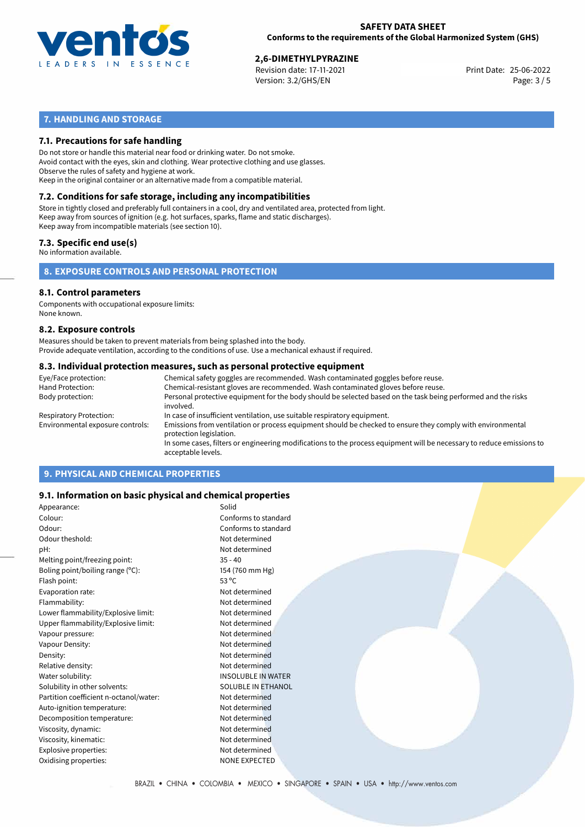

25-06-2022 **2,6-DIMETHYLPYRAZINE** Revision date: 17-11-2021 Print Date: Version: 3.2/GHS/EN Page: 3 / 5

# **7. HANDLING AND STORAGE**

#### **7.1. Precautions for safe handling**

Do not store or handle this material near food or drinking water. Do not smoke. Avoid contact with the eyes, skin and clothing. Wear protective clothing and use glasses. Observe the rules of safety and hygiene at work. Keep in the original container or an alternative made from a compatible material.

# **7.2. Conditions for safe storage, including any incompatibilities**

Store in tightly closed and preferably full containers in a cool, dry and ventilated area, protected from light. Keep away from sources of ignition (e.g. hot surfaces, sparks, flame and static discharges). Keep away from incompatible materials (see section 10).

#### **7.3. Specific end use(s)**

No information available.

**8. EXPOSURE CONTROLS AND PERSONAL PROTECTION**

#### **8.1. Control parameters**

Components with occupational exposure limits: None known.

#### **8.2. Exposure controls**

Measures should be taken to prevent materials from being splashed into the body. Provide adequate ventilation, according to the conditions of use. Use a mechanical exhaust if required.

#### **8.3. Individual protection measures, such as personal protective equipment**

| Eye/Face protection:             | Chemical safety goggles are recommended. Wash contaminated goggles before reuse.                                                            |  |  |  |  |
|----------------------------------|---------------------------------------------------------------------------------------------------------------------------------------------|--|--|--|--|
| Hand Protection:                 | Chemical-resistant gloves are recommended. Wash contaminated gloves before reuse.                                                           |  |  |  |  |
| Body protection:                 | Personal protective equipment for the body should be selected based on the task being performed and the risks<br>involved.                  |  |  |  |  |
| Respiratory Protection:          | In case of insufficient ventilation, use suitable respiratory equipment.                                                                    |  |  |  |  |
| Environmental exposure controls: | Emissions from ventilation or process equipment should be checked to ensure they comply with environmental<br>protection legislation.       |  |  |  |  |
|                                  | In some cases, filters or engineering modifications to the process equipment will be necessary to reduce emissions to<br>acceptable levels. |  |  |  |  |
|                                  |                                                                                                                                             |  |  |  |  |

# **9. PHYSICAL AND CHEMICAL PROPERTIES**

#### **9.1. Information on basic physical and chemical properties**

| Appearance:                            | Solid                     |
|----------------------------------------|---------------------------|
| Colour:                                | Conforms to standard      |
| Odour:                                 | Conforms to standard      |
| Odour theshold:                        | Not determined            |
| pH:                                    | Not determined            |
| Melting point/freezing point:          | $35 - 40$                 |
| Boling point/boiling range $(°C)$ :    | 154 (760 mm Hg)           |
| Flash point:                           | $53^{\circ}$ C            |
| Evaporation rate:                      | Not determined            |
| Flammability:                          | Not determined            |
| Lower flammability/Explosive limit:    | Not determined            |
| Upper flammability/Explosive limit:    | Not determined            |
| Vapour pressure:                       | Not determined            |
| Vapour Density:                        | Not determined            |
| Density:                               | Not determined            |
| Relative density:                      | Not determined            |
| Water solubility:                      | <b>INSOLUBLE IN WATER</b> |
| Solubility in other solvents:          | SOLUBLE IN ETHANOL        |
| Partition coefficient n-octanol/water: | Not determined            |
| Auto-ignition temperature:             | Not determined            |
| Decomposition temperature:             | Not determined            |
| Viscosity, dynamic:                    | Not determined            |
| Viscosity, kinematic:                  | Not determined            |
| Explosive properties:                  | Not determined            |
| Oxidising properties:                  | NONE EXPECTED             |
|                                        |                           |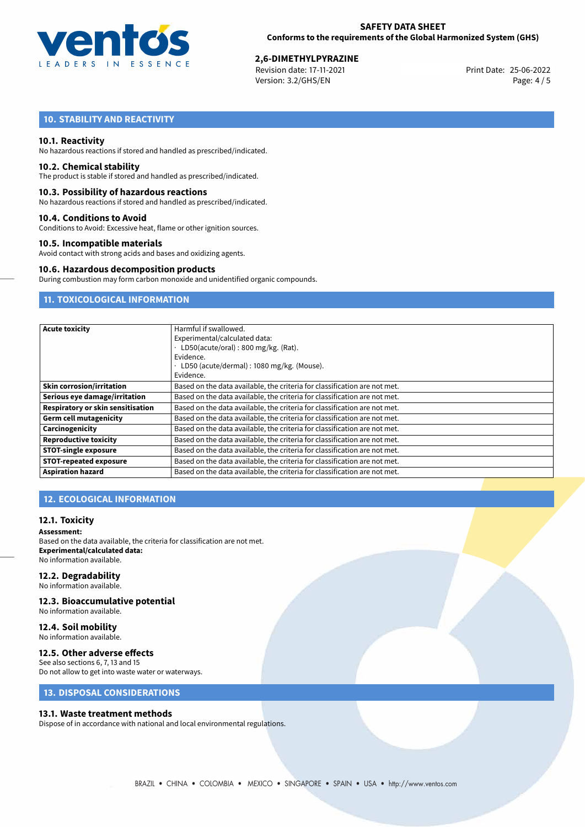

25-06-2022 **2,6-DIMETHYLPYRAZINE** Revision date: 17-11-2021 Print Date: Version: 3.2/GHS/EN Page: 4 / 5

# **10. STABILITY AND REACTIVITY**

#### **10.1. Reactivity**

No hazardous reactions if stored and handled as prescribed/indicated.

#### **10.2. Chemical stability**

The product is stable if stored and handled as prescribed/indicated.

#### **10.3. Possibility of hazardous reactions**

No hazardous reactions if stored and handled as prescribed/indicated.

#### **10.4. Conditions to Avoid**

Conditions to Avoid: Excessive heat, flame or other ignition sources.

#### **10.5. Incompatible materials**

Avoid contact with strong acids and bases and oxidizing agents.

#### **10.6. Hazardous decomposition products**

During combustion may form carbon monoxide and unidentified organic compounds.

# **11. TOXICOLOGICAL INFORMATION**

| <b>Acute toxicity</b>             | Harmful if swallowed.                                                     |  |  |  |
|-----------------------------------|---------------------------------------------------------------------------|--|--|--|
|                                   | Experimental/calculated data:                                             |  |  |  |
|                                   | LD50(acute/oral): 800 mg/kg. (Rat).                                       |  |  |  |
|                                   | Evidence.                                                                 |  |  |  |
|                                   | LD50 (acute/dermal) : 1080 mg/kg. (Mouse).                                |  |  |  |
|                                   | Evidence.                                                                 |  |  |  |
| <b>Skin corrosion/irritation</b>  | Based on the data available, the criteria for classification are not met. |  |  |  |
| Serious eye damage/irritation     | Based on the data available, the criteria for classification are not met. |  |  |  |
| Respiratory or skin sensitisation | Based on the data available, the criteria for classification are not met. |  |  |  |
| <b>Germ cell mutagenicity</b>     | Based on the data available, the criteria for classification are not met. |  |  |  |
| Carcinogenicity                   | Based on the data available, the criteria for classification are not met. |  |  |  |
| <b>Reproductive toxicity</b>      | Based on the data available, the criteria for classification are not met. |  |  |  |
| <b>STOT-single exposure</b>       | Based on the data available, the criteria for classification are not met. |  |  |  |
| <b>STOT-repeated exposure</b>     | Based on the data available, the criteria for classification are not met. |  |  |  |
| <b>Aspiration hazard</b>          | Based on the data available, the criteria for classification are not met. |  |  |  |

### **12. ECOLOGICAL INFORMATION**

#### **12.1. Toxicity**

#### **Assessment:**

Based on the data available, the criteria for classification are not met. **Experimental/calculated data:** No information available.

#### **12.2. Degradability**

No information available.

#### **12.3. Bioaccumulative potential**

No information available.

#### **12.4. Soil mobility**

No information available.

# **12.5. Other adverse effects**

See also sections 6, 7, 13 and 15 Do not allow to get into waste water or waterways.

#### **13. DISPOSAL CONSIDERATIONS**

#### **13.1. Waste treatment methods**

Dispose of in accordance with national and local environmental regulations.